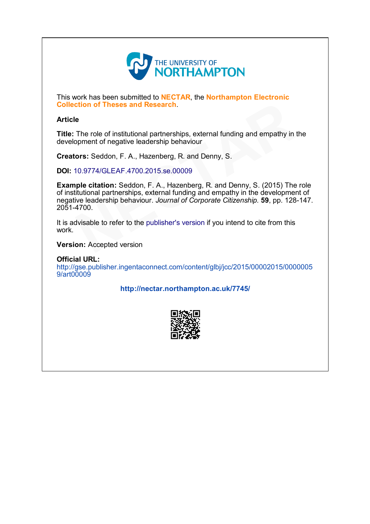

This work has been submitted to **NECTAR**, the **Northampton Electronic** Collection of Theses and Research.

# Article

Title: The role of institutional partnerships, external funding and empathy in the development of negative leadership behaviour

Creators: Seddon, F. A., Hazenberg, R. and Denny, S.

DOI: 10.9774/GLEAF.4700.2015.se.00009

Example citation: Seddon, F. A., Hazenberg, R. and Denny, S. (2015) The role of institutional partnerships, external funding and empathy in the development of negative leadership behaviour. Journal of Corporate Citizenship. 59, pp. 128-147. 20514700. **Conserved Assember 19.**<br>The role of institutional partnerships, external funding and empathy in topment of negative leadership behaviour<br> **ors:** Seddon, F. A., Hazenberg, R. and Denny, S.<br>
10.9774/GLEAF.4700.2015.se.00009

It is advisable to refer to the publisher's version if you intend to cite from this work.

Version: Accepted version

Official URL: [http://gse.publisher.ingentaconnect.com/content/glbj/jcc/2015/00002015/0000005](http://gse.publisher.ingentaconnect.com/content/glbj/jcc/2015/00002015/00000059/art00009) 9/art00009

<http://nectar.northampton.ac.uk/7745/>

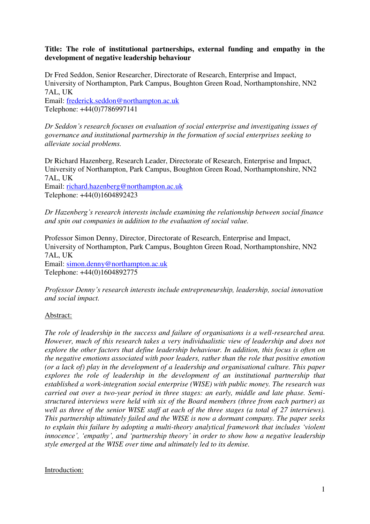# **Title: The role of institutional partnerships, external funding and empathy in the development of negative leadership behaviour**

Dr Fred Seddon, Senior Researcher, Directorate of Research, Enterprise and Impact, University of Northampton, Park Campus, Boughton Green Road, Northamptonshire, NN2 7AL, UK Email: [frederick.seddon@northampton.ac.uk](mailto:frederick.seddon@northampton.ac.uk) 

Telephone: +44(0)7786997141

*Dr Seddon's research focuses on evaluation of social enterprise and investigating issues of governance and institutional partnership in the formation of social enterprises seeking to alleviate social problems.* 

Dr Richard Hazenberg, Research Leader, Directorate of Research, Enterprise and Impact, University of Northampton, Park Campus, Boughton Green Road, Northamptonshire, NN2 7AL, UK Email: [richard.hazenberg@northampton.ac.uk](mailto:richard.hazenberg@northampton.ac.uk) 

Telephone: +44(0)1604892423

*Dr Hazenberg's research interests include examining the relationship between social finance and spin out companies in addition to the evaluation of social value.* 

Professor Simon Denny, Director, Directorate of Research, Enterprise and Impact, University of Northampton, Park Campus, Boughton Green Road, Northamptonshire, NN2 7AL, UK Email: [simon.denny@northampton.ac.uk](mailto:simon.denny@northampton.ac.uk)  Telephone: +44(0)1604892775

*Professor Denny's research interests include entrepreneurship, leadership, social innovation and social impact.*

# Abstract:

*The role of leadership in the success and failure of organisations is a well-researched area. However, much of this research takes a very individualistic view of leadership and does not explore the other factors that define leadership behaviour. In addition, this focus is often on the negative emotions associated with poor leaders, rather than the role that positive emotion (or a lack of) play in the development of a leadership and organisational culture. This paper explores the role of leadership in the development of an institutional partnership that established a work-integration social enterprise (WISE) with public money. The research was carried out over a two-year period in three stages: an early, middle and late phase. Semistructured interviews were held with six of the Board members (three from each partner) as well as three of the senior WISE staff at each of the three stages (a total of 27 interviews). This partnership ultimately failed and the WISE is now a dormant company. The paper seeks to explain this failure by adopting a multi-theory analytical framework that includes 'violent innocence', 'empathy', and 'partnership theory' in order to show how a negative leadership style emerged at the WISE over time and ultimately led to its demise.* 

# Introduction: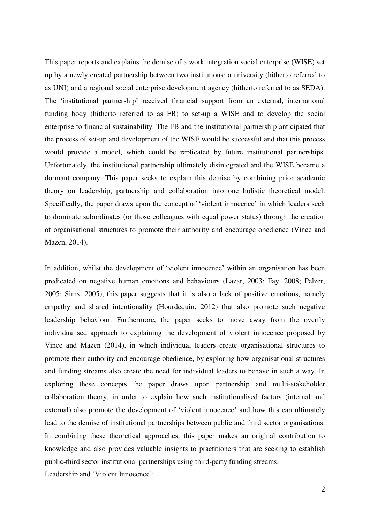This paper reports and explains the demise of a work integration social enterprise (WISE) set up by a newly created partnership between two institutions; a university (hitherto referred to as UNI) and a regional social enterprise development agency (hitherto referred to as SEDA). The 'institutional partnership' received financial support from an external, international funding body (hitherto referred to as FB) to set-up a WISE and to develop the social enterprise to financial sustainability. The FB and the institutional partnership anticipated that the process of set-up and development of the WISE would be successful and that this process would provide a model, which could be replicated by future institutional partnerships. Unfortunately, the institutional partnership ultimately disintegrated and the WISE became a dormant company. This paper seeks to explain this demise by combining prior academic theory on leadership, partnership and collaboration into one holistic theoretical model. Specifically, the paper draws upon the concept of 'violent innocence' in which leaders seek to dominate subordinates (or those colleagues with equal power status) through the creation of organisational structures to promote their authority and encourage obedience (Vince and Mazen, 2014).

In addition, whilst the development of 'violent innocence' within an organisation has been predicated on negative human emotions and behaviours (Lazar, 2003; Fay, 2008; Pelzer, 2005; Sims, 2005), this paper suggests that it is also a lack of positive emotions, namely empathy and shared intentionality (Hourdequin, 2012) that also promote such negative leadership behaviour. Furthermore, the paper seeks to move away from the overtly individualised approach to explaining the development of violent innocence proposed by Vince and Mazen (2014), in which individual leaders create organisational structures to promote their authority and encourage obedience, by exploring how organisational structures and funding streams also create the need for individual leaders to behave in such a way. In exploring these concepts the paper draws upon partnership and multi-stakeholder collaboration theory, in order to explain how such institutionalised factors (internal and external) also promote the development of 'violent innocence' and how this can ultimately lead to the demise of institutional partnerships between public and third sector organisations. In combining these theoretical approaches, this paper makes an original contribution to knowledge and also provides valuable insights to practitioners that are seeking to establish public-third sector institutional partnerships using third-party funding streams. Leadership and 'Violent Innocence':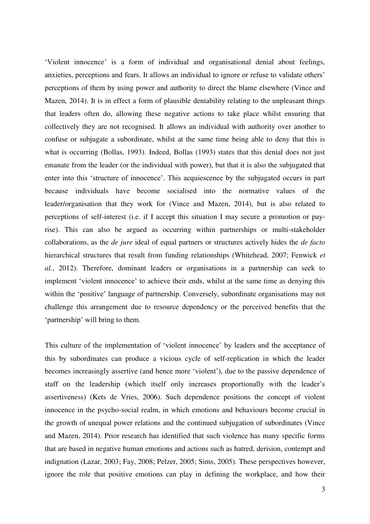'Violent innocence' is a form of individual and organisational denial about feelings, anxieties, perceptions and fears. It allows an individual to ignore or refuse to validate others' perceptions of them by using power and authority to direct the blame elsewhere (Vince and Mazen, 2014). It is in effect a form of plausible deniability relating to the unpleasant things that leaders often do, allowing these negative actions to take place whilst ensuring that collectively they are not recognised. It allows an individual with authority over another to confuse or subjugate a subordinate, whilst at the same time being able to deny that this is what is occurring (Bollas, 1993). Indeed, Bollas (1993) states that this denial does not just emanate from the leader (or the individual with power), but that it is also the subjugated that enter into this 'structure of innocence'. This acquiescence by the subjugated occurs in part because individuals have become socialised into the normative values of the leader/organisation that they work for (Vince and Mazen, 2014), but is also related to perceptions of self-interest (i.e. if I accept this situation I may secure a promotion or payrise). This can also be argued as occurring within partnerships or multi-stakeholder collaborations, as the *de jure* ideal of equal partners or structures actively hides the *de facto*  hierarchical structures that result from funding relationships (Whitehead, 2007; Fenwick *et al.*, 2012). Therefore, dominant leaders or organisations in a partnership can seek to implement 'violent innocence' to achieve their ends, whilst at the same time as denying this within the 'positive' language of partnership. Conversely, subordinate organisations may not challenge this arrangement due to resource dependency or the perceived benefits that the 'partnership' will bring to them.

This culture of the implementation of 'violent innocence' by leaders and the acceptance of this by subordinates can produce a vicious cycle of self-replication in which the leader becomes increasingly assertive (and hence more 'violent'), due to the passive dependence of staff on the leadership (which itself only increases proportionally with the leader's assertiveness) (Kets de Vries, 2006). Such dependence positions the concept of violent innocence in the psycho-social realm, in which emotions and behaviours become crucial in the growth of unequal power relations and the continued subjugation of subordinates (Vince and Mazen, 2014). Prior research has identified that such violence has many specific forms that are based in negative human emotions and actions such as hatred, derision, contempt and indignation (Lazar, 2003; Fay, 2008; Pelzer, 2005; Sims, 2005). These perspectives however, ignore the role that positive emotions can play in defining the workplace, and how their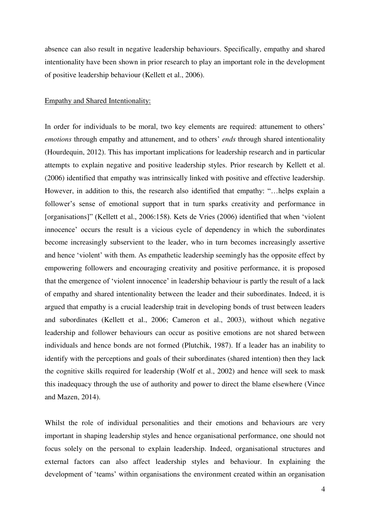absence can also result in negative leadership behaviours. Specifically, empathy and shared intentionality have been shown in prior research to play an important role in the development of positive leadership behaviour (Kellett et al., 2006).

#### Empathy and Shared Intentionality:

In order for individuals to be moral, two key elements are required: attunement to others' *emotions* through empathy and attunement, and to others' *ends* through shared intentionality (Hourdequin, 2012). This has important implications for leadership research and in particular attempts to explain negative and positive leadership styles. Prior research by Kellett et al. (2006) identified that empathy was intrinsically linked with positive and effective leadership. However, in addition to this, the research also identified that empathy: "…helps explain a follower's sense of emotional support that in turn sparks creativity and performance in [organisations]" (Kellett et al., 2006:158). Kets de Vries (2006) identified that when 'violent innocence' occurs the result is a vicious cycle of dependency in which the subordinates become increasingly subservient to the leader, who in turn becomes increasingly assertive and hence 'violent' with them. As empathetic leadership seemingly has the opposite effect by empowering followers and encouraging creativity and positive performance, it is proposed that the emergence of 'violent innocence' in leadership behaviour is partly the result of a lack of empathy and shared intentionality between the leader and their subordinates. Indeed, it is argued that empathy is a crucial leadership trait in developing bonds of trust between leaders and subordinates (Kellett et al., 2006; Cameron et al., 2003), without which negative leadership and follower behaviours can occur as positive emotions are not shared between individuals and hence bonds are not formed (Plutchik, 1987). If a leader has an inability to identify with the perceptions and goals of their subordinates (shared intention) then they lack the cognitive skills required for leadership (Wolf et al., 2002) and hence will seek to mask this inadequacy through the use of authority and power to direct the blame elsewhere (Vince and Mazen, 2014).

Whilst the role of individual personalities and their emotions and behaviours are very important in shaping leadership styles and hence organisational performance, one should not focus solely on the personal to explain leadership. Indeed, organisational structures and external factors can also affect leadership styles and behaviour. In explaining the development of 'teams' within organisations the environment created within an organisation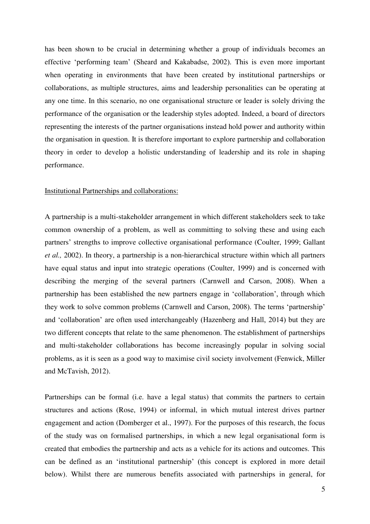has been shown to be crucial in determining whether a group of individuals becomes an effective 'performing team' (Sheard and Kakabadse, 2002). This is even more important when operating in environments that have been created by institutional partnerships or collaborations, as multiple structures, aims and leadership personalities can be operating at any one time. In this scenario, no one organisational structure or leader is solely driving the performance of the organisation or the leadership styles adopted. Indeed, a board of directors representing the interests of the partner organisations instead hold power and authority within the organisation in question. It is therefore important to explore partnership and collaboration theory in order to develop a holistic understanding of leadership and its role in shaping performance.

#### Institutional Partnerships and collaborations:

A partnership is a multi-stakeholder arrangement in which different stakeholders seek to take common ownership of a problem, as well as committing to solving these and using each partners' strengths to improve collective organisational performance (Coulter, 1999; Gallant *et al.,* 2002). In theory, a partnership is a non-hierarchical structure within which all partners have equal status and input into strategic operations (Coulter, 1999) and is concerned with describing the merging of the several partners (Carnwell and Carson, 2008). When a partnership has been established the new partners engage in 'collaboration', through which they work to solve common problems (Carnwell and Carson, 2008). The terms 'partnership' and 'collaboration' are often used interchangeably (Hazenberg and Hall, 2014) but they are two different concepts that relate to the same phenomenon. The establishment of partnerships and multi-stakeholder collaborations has become increasingly popular in solving social problems, as it is seen as a good way to maximise civil society involvement (Fenwick, Miller and McTavish, 2012).

Partnerships can be formal (i.e. have a legal status) that commits the partners to certain structures and actions (Rose, 1994) or informal, in which mutual interest drives partner engagement and action (Domberger et al., 1997). For the purposes of this research, the focus of the study was on formalised partnerships, in which a new legal organisational form is created that embodies the partnership and acts as a vehicle for its actions and outcomes. This can be defined as an 'institutional partnership' (this concept is explored in more detail below). Whilst there are numerous benefits associated with partnerships in general, for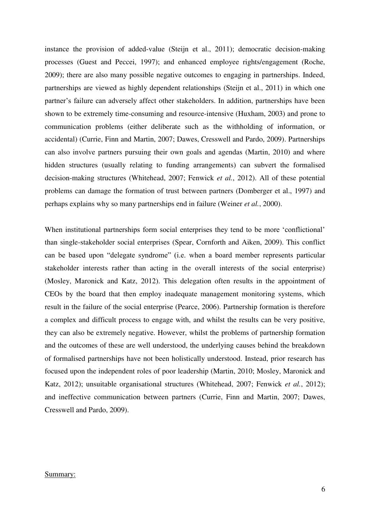instance the provision of added-value (Steijn et al., 2011); democratic decision-making processes (Guest and Peccei, 1997); and enhanced employee rights/engagement (Roche, 2009); there are also many possible negative outcomes to engaging in partnerships. Indeed, partnerships are viewed as highly dependent relationships (Steijn et al., 2011) in which one partner's failure can adversely affect other stakeholders. In addition, partnerships have been shown to be extremely time-consuming and resource-intensive (Huxham, 2003) and prone to communication problems (either deliberate such as the withholding of information, or accidental) (Currie, Finn and Martin, 2007; Dawes, Cresswell and Pardo, 2009). Partnerships can also involve partners pursuing their own goals and agendas (Martin, 2010) and where hidden structures (usually relating to funding arrangements) can subvert the formalised decision-making structures (Whitehead, 2007; Fenwick *et al.*, 2012). All of these potential problems can damage the formation of trust between partners (Domberger et al., 1997) and perhaps explains why so many partnerships end in failure (Weiner *et al.*, 2000).

When institutional partnerships form social enterprises they tend to be more 'conflictional' than single-stakeholder social enterprises (Spear, Cornforth and Aiken, 2009). This conflict can be based upon "delegate syndrome" (i.e. when a board member represents particular stakeholder interests rather than acting in the overall interests of the social enterprise) (Mosley, Maronick and Katz, 2012). This delegation often results in the appointment of CEOs by the board that then employ inadequate management monitoring systems, which result in the failure of the social enterprise (Pearce, 2006). Partnership formation is therefore a complex and difficult process to engage with, and whilst the results can be very positive, they can also be extremely negative. However, whilst the problems of partnership formation and the outcomes of these are well understood, the underlying causes behind the breakdown of formalised partnerships have not been holistically understood. Instead, prior research has focused upon the independent roles of poor leadership (Martin, 2010; Mosley, Maronick and Katz, 2012); unsuitable organisational structures (Whitehead, 2007; Fenwick *et al.*, 2012); and ineffective communication between partners (Currie, Finn and Martin, 2007; Dawes, Cresswell and Pardo, 2009).

#### Summary: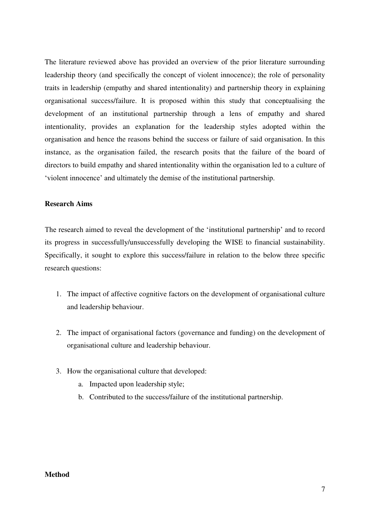The literature reviewed above has provided an overview of the prior literature surrounding leadership theory (and specifically the concept of violent innocence); the role of personality traits in leadership (empathy and shared intentionality) and partnership theory in explaining organisational success/failure. It is proposed within this study that conceptualising the development of an institutional partnership through a lens of empathy and shared intentionality, provides an explanation for the leadership styles adopted within the organisation and hence the reasons behind the success or failure of said organisation. In this instance, as the organisation failed, the research posits that the failure of the board of directors to build empathy and shared intentionality within the organisation led to a culture of 'violent innocence' and ultimately the demise of the institutional partnership.

# **Research Aims**

The research aimed to reveal the development of the 'institutional partnership' and to record its progress in successfully/unsuccessfully developing the WISE to financial sustainability. Specifically, it sought to explore this success/failure in relation to the below three specific research questions:

- 1. The impact of affective cognitive factors on the development of organisational culture and leadership behaviour.
- 2. The impact of organisational factors (governance and funding) on the development of organisational culture and leadership behaviour.
- 3. How the organisational culture that developed:
	- a. Impacted upon leadership style;
	- b. Contributed to the success/failure of the institutional partnership.

# **Method**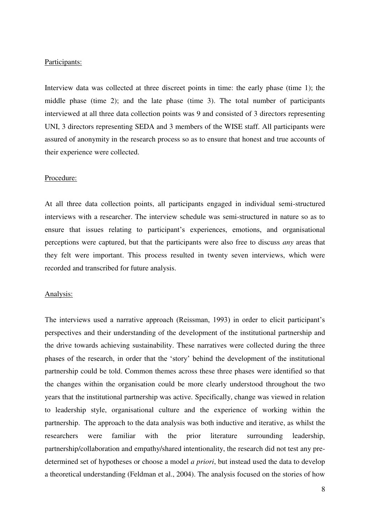## Participants:

Interview data was collected at three discreet points in time: the early phase (time 1); the middle phase (time 2); and the late phase (time 3). The total number of participants interviewed at all three data collection points was 9 and consisted of 3 directors representing UNI, 3 directors representing SEDA and 3 members of the WISE staff. All participants were assured of anonymity in the research process so as to ensure that honest and true accounts of their experience were collected.

#### Procedure:

At all three data collection points, all participants engaged in individual semi-structured interviews with a researcher. The interview schedule was semi-structured in nature so as to ensure that issues relating to participant's experiences, emotions, and organisational perceptions were captured, but that the participants were also free to discuss *any* areas that they felt were important. This process resulted in twenty seven interviews, which were recorded and transcribed for future analysis.

#### Analysis:

The interviews used a narrative approach (Reissman, 1993) in order to elicit participant's perspectives and their understanding of the development of the institutional partnership and the drive towards achieving sustainability. These narratives were collected during the three phases of the research, in order that the 'story' behind the development of the institutional partnership could be told. Common themes across these three phases were identified so that the changes within the organisation could be more clearly understood throughout the two years that the institutional partnership was active. Specifically, change was viewed in relation to leadership style, organisational culture and the experience of working within the partnership. The approach to the data analysis was both inductive and iterative, as whilst the researchers were familiar with the prior literature surrounding leadership, partnership/collaboration and empathy/shared intentionality, the research did not test any predetermined set of hypotheses or choose a model *a priori*, but instead used the data to develop a theoretical understanding (Feldman et al., 2004). The analysis focused on the stories of how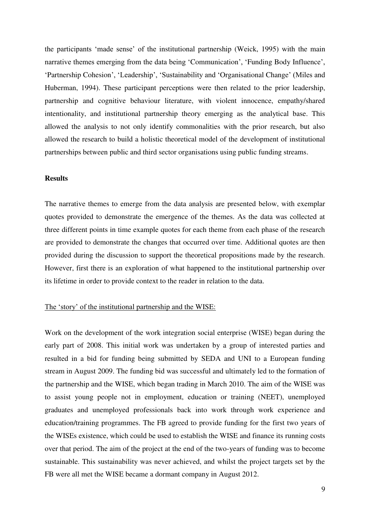the participants 'made sense' of the institutional partnership (Weick, 1995) with the main narrative themes emerging from the data being 'Communication', 'Funding Body Influence', 'Partnership Cohesion', 'Leadership', 'Sustainability and 'Organisational Change' (Miles and Huberman, 1994). These participant perceptions were then related to the prior leadership, partnership and cognitive behaviour literature, with violent innocence, empathy/shared intentionality, and institutional partnership theory emerging as the analytical base. This allowed the analysis to not only identify commonalities with the prior research, but also allowed the research to build a holistic theoretical model of the development of institutional partnerships between public and third sector organisations using public funding streams.

## **Results**

The narrative themes to emerge from the data analysis are presented below, with exemplar quotes provided to demonstrate the emergence of the themes. As the data was collected at three different points in time example quotes for each theme from each phase of the research are provided to demonstrate the changes that occurred over time. Additional quotes are then provided during the discussion to support the theoretical propositions made by the research. However, first there is an exploration of what happened to the institutional partnership over its lifetime in order to provide context to the reader in relation to the data.

# The 'story' of the institutional partnership and the WISE:

Work on the development of the work integration social enterprise (WISE) began during the early part of 2008. This initial work was undertaken by a group of interested parties and resulted in a bid for funding being submitted by SEDA and UNI to a European funding stream in August 2009. The funding bid was successful and ultimately led to the formation of the partnership and the WISE, which began trading in March 2010. The aim of the WISE was to assist young people not in employment, education or training (NEET), unemployed graduates and unemployed professionals back into work through work experience and education/training programmes. The FB agreed to provide funding for the first two years of the WISEs existence, which could be used to establish the WISE and finance its running costs over that period. The aim of the project at the end of the two-years of funding was to become sustainable. This sustainability was never achieved, and whilst the project targets set by the FB were all met the WISE became a dormant company in August 2012.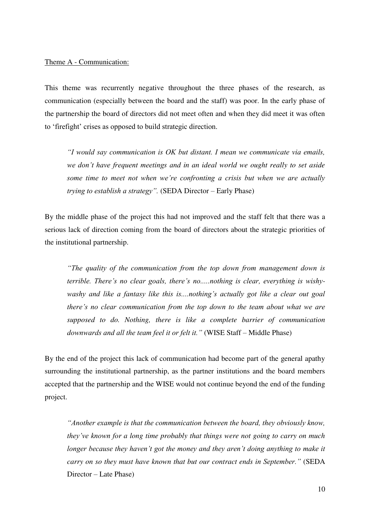# Theme A - Communication:

This theme was recurrently negative throughout the three phases of the research, as communication (especially between the board and the staff) was poor. In the early phase of the partnership the board of directors did not meet often and when they did meet it was often to 'firefight' crises as opposed to build strategic direction.

*"I would say communication is OK but distant. I mean we communicate via emails, we don't have frequent meetings and in an ideal world we ought really to set aside some time to meet not when we're confronting a crisis but when we are actually trying to establish a strategy".* (SEDA Director – Early Phase)

By the middle phase of the project this had not improved and the staff felt that there was a serious lack of direction coming from the board of directors about the strategic priorities of the institutional partnership.

*"The quality of the communication from the top down from management down is terrible. There's no clear goals, there's no.....nothing is clear, everything is wishywashy and like a fantasy like this is....nothing's actually got like a clear out goal there's no clear communication from the top down to the team about what we are supposed to do. Nothing, there is like a complete barrier of communication downwards and all the team feel it or felt it."* (WISE Staff – Middle Phase)

By the end of the project this lack of communication had become part of the general apathy surrounding the institutional partnership, as the partner institutions and the board members accepted that the partnership and the WISE would not continue beyond the end of the funding project.

*"Another example is that the communication between the board, they obviously know, they've known for a long time probably that things were not going to carry on much longer because they haven't got the money and they aren't doing anything to make it carry on so they must have known that but our contract ends in September."* (SEDA Director – Late Phase)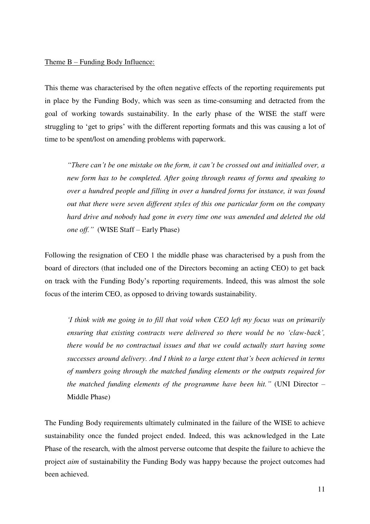## Theme B – Funding Body Influence:

This theme was characterised by the often negative effects of the reporting requirements put in place by the Funding Body, which was seen as time-consuming and detracted from the goal of working towards sustainability. In the early phase of the WISE the staff were struggling to 'get to grips' with the different reporting formats and this was causing a lot of time to be spent/lost on amending problems with paperwork.

*"There can't be one mistake on the form, it can't be crossed out and initialled over, a new form has to be completed. After going through reams of forms and speaking to over a hundred people and filling in over a hundred forms for instance, it was found out that there were seven different styles of this one particular form on the company hard drive and nobody had gone in every time one was amended and deleted the old one off."* (WISE Staff – Early Phase)

Following the resignation of CEO 1 the middle phase was characterised by a push from the board of directors (that included one of the Directors becoming an acting CEO) to get back on track with the Funding Body's reporting requirements. Indeed, this was almost the sole focus of the interim CEO, as opposed to driving towards sustainability.

*'I think with me going in to fill that void when CEO left my focus was on primarily ensuring that existing contracts were delivered so there would be no 'claw-back', there would be no contractual issues and that we could actually start having some successes around delivery. And I think to a large extent that's been achieved in terms of numbers going through the matched funding elements or the outputs required for the matched funding elements of the programme have been hit."* (UNI Director – Middle Phase)

The Funding Body requirements ultimately culminated in the failure of the WISE to achieve sustainability once the funded project ended. Indeed, this was acknowledged in the Late Phase of the research, with the almost perverse outcome that despite the failure to achieve the project *aim* of sustainability the Funding Body was happy because the project outcomes had been achieved.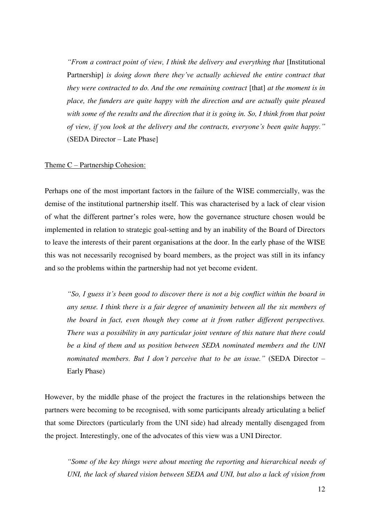*"From a contract point of view, I think the delivery and everything that [Institutional* Partnership] *is doing down there they've actually achieved the entire contract that they were contracted to do. And the one remaining contract* [that] *at the moment is in place, the funders are quite happy with the direction and are actually quite pleased with some of the results and the direction that it is going in. So, I think from that point of view, if you look at the delivery and the contracts, everyone's been quite happy."* (SEDA Director – Late Phase]

#### Theme C – Partnership Cohesion:

Perhaps one of the most important factors in the failure of the WISE commercially, was the demise of the institutional partnership itself. This was characterised by a lack of clear vision of what the different partner's roles were, how the governance structure chosen would be implemented in relation to strategic goal-setting and by an inability of the Board of Directors to leave the interests of their parent organisations at the door. In the early phase of the WISE this was not necessarily recognised by board members, as the project was still in its infancy and so the problems within the partnership had not yet become evident.

*"So, I guess it's been good to discover there is not a big conflict within the board in any sense. I think there is a fair degree of unanimity between all the six members of the board in fact, even though they come at it from rather different perspectives. There was a possibility in any particular joint venture of this nature that there could be a kind of them and us position between SEDA nominated members and the UNI nominated members. But I don't perceive that to be an issue."* (SEDA Director – Early Phase)

However, by the middle phase of the project the fractures in the relationships between the partners were becoming to be recognised, with some participants already articulating a belief that some Directors (particularly from the UNI side) had already mentally disengaged from the project. Interestingly, one of the advocates of this view was a UNI Director.

*"Some of the key things were about meeting the reporting and hierarchical needs of UNI, the lack of shared vision between SEDA and UNI, but also a lack of vision from*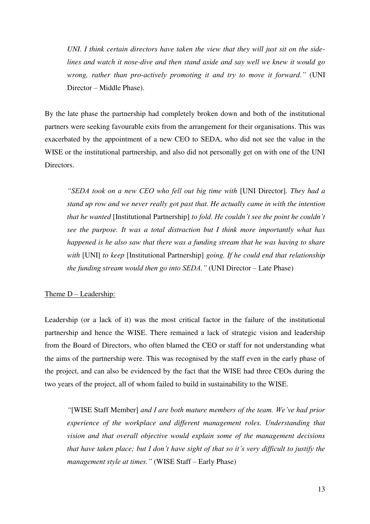*UNI. I think certain directors have taken the view that they will just sit on the sidelines and watch it nose-dive and then stand aside and say well we knew it would go wrong, rather than pro-actively promoting it and try to move it forward."* (UNI Director – Middle Phase).

By the late phase the partnership had completely broken down and both of the institutional partners were seeking favourable exits from the arrangement for their organisations. This was exacerbated by the appointment of a new CEO to SEDA, who did not see the value in the WISE or the institutional partnership, and also did not personally get on with one of the UNI Directors.

*"SEDA took on a new CEO who fell out big time with* [UNI Director]*. They had a stand up row and we never really got past that. He actually came in with the intention that he wanted* [Institutional Partnership] *to fold. He couldn't see the point he couldn't see the purpose. It was a total distraction but I think more importantly what has happened is he also saw that there was a funding stream that he was having to share with* [UNI] *to keep* [Institutional Partnership] *going. If he could end that relationship the funding stream would then go into SEDA."* (UNI Director – Late Phase)

## Theme D – Leadership:

Leadership (or a lack of it) was the most critical factor in the failure of the institutional partnership and hence the WISE. There remained a lack of strategic vision and leadership from the Board of Directors, who often blamed the CEO or staff for not understanding what the aims of the partnership were. This was recognised by the staff even in the early phase of the project, and can also be evidenced by the fact that the WISE had three CEOs during the two years of the project, all of whom failed to build in sustainability to the WISE.

*"*[WISE Staff Member] *and I are both mature members of the team. We've had prior experience of the workplace and different management roles. Understanding that vision and that overall objective would explain some of the management decisions that have taken place; but I don't have sight of that so it's very difficult to justify the management style at times."* (WISE Staff – Early Phase)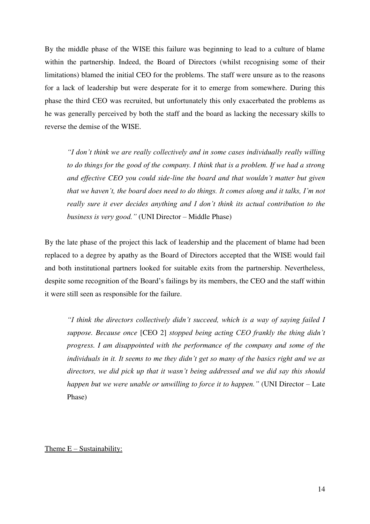By the middle phase of the WISE this failure was beginning to lead to a culture of blame within the partnership. Indeed, the Board of Directors (whilst recognising some of their limitations) blamed the initial CEO for the problems. The staff were unsure as to the reasons for a lack of leadership but were desperate for it to emerge from somewhere. During this phase the third CEO was recruited, but unfortunately this only exacerbated the problems as he was generally perceived by both the staff and the board as lacking the necessary skills to reverse the demise of the WISE.

*"I don't think we are really collectively and in some cases individually really willing to do things for the good of the company. I think that is a problem. If we had a strong and effective CEO you could side-line the board and that wouldn't matter but given that we haven't, the board does need to do things. It comes along and it talks, I'm not really sure it ever decides anything and I don't think its actual contribution to the business is very good."* (UNI Director – Middle Phase)

By the late phase of the project this lack of leadership and the placement of blame had been replaced to a degree by apathy as the Board of Directors accepted that the WISE would fail and both institutional partners looked for suitable exits from the partnership. Nevertheless, despite some recognition of the Board's failings by its members, the CEO and the staff within it were still seen as responsible for the failure.

*"I think the directors collectively didn't succeed, which is a way of saying failed I suppose. Because once* [CEO 2] *stopped being acting CEO frankly the thing didn't progress. I am disappointed with the performance of the company and some of the individuals in it. It seems to me they didn't get so many of the basics right and we as directors, we did pick up that it wasn't being addressed and we did say this should happen but we were unable or unwilling to force it to happen."* (UNI Director – Late Phase)

#### Theme  $E -$  Sustainability: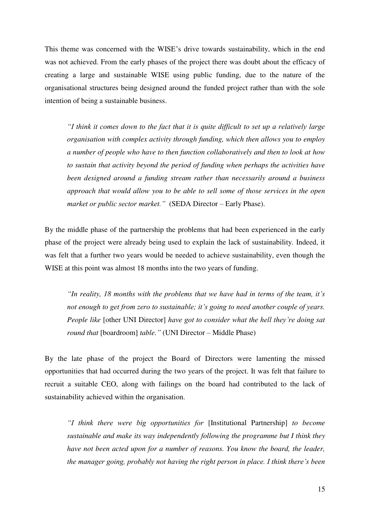This theme was concerned with the WISE's drive towards sustainability, which in the end was not achieved. From the early phases of the project there was doubt about the efficacy of creating a large and sustainable WISE using public funding, due to the nature of the organisational structures being designed around the funded project rather than with the sole intention of being a sustainable business.

*"I think it comes down to the fact that it is quite difficult to set up a relatively large organisation with complex activity through funding, which then allows you to employ a number of people who have to then function collaboratively and then to look at how to sustain that activity beyond the period of funding when perhaps the activities have been designed around a funding stream rather than necessarily around a business approach that would allow you to be able to sell some of those services in the open market or public sector market."* (SEDA Director – Early Phase).

By the middle phase of the partnership the problems that had been experienced in the early phase of the project were already being used to explain the lack of sustainability. Indeed, it was felt that a further two years would be needed to achieve sustainability, even though the WISE at this point was almost 18 months into the two years of funding.

*"In reality, 18 months with the problems that we have had in terms of the team, it's not enough to get from zero to sustainable; it's going to need another couple of years. People like* [other UNI Director] *have got to consider what the hell they're doing sat round that* [boardroom] *table."* (UNI Director – Middle Phase)

By the late phase of the project the Board of Directors were lamenting the missed opportunities that had occurred during the two years of the project. It was felt that failure to recruit a suitable CEO, along with failings on the board had contributed to the lack of sustainability achieved within the organisation.

*"I think there were big opportunities for* [Institutional Partnership] *to become sustainable and make its way independently following the programme but I think they have not been acted upon for a number of reasons. You know the board, the leader, the manager going, probably not having the right person in place. I think there's been*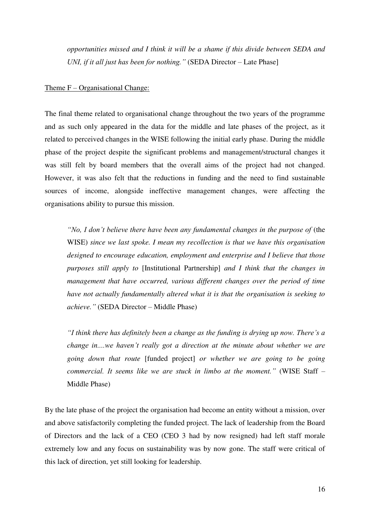*opportunities missed and I think it will be a shame if this divide between SEDA and UNI, if it all just has been for nothing."* (SEDA Director – Late Phase]

## Theme F – Organisational Change:

The final theme related to organisational change throughout the two years of the programme and as such only appeared in the data for the middle and late phases of the project, as it related to perceived changes in the WISE following the initial early phase. During the middle phase of the project despite the significant problems and management/structural changes it was still felt by board members that the overall aims of the project had not changed. However, it was also felt that the reductions in funding and the need to find sustainable sources of income, alongside ineffective management changes, were affecting the organisations ability to pursue this mission.

*"No, I don't believe there have been any fundamental changes in the purpose of (the* WISE) *since we last spoke. I mean my recollection is that we have this organisation designed to encourage education, employment and enterprise and I believe that those purposes still apply to* [Institutional Partnership] *and I think that the changes in management that have occurred, various different changes over the period of time have not actually fundamentally altered what it is that the organisation is seeking to achieve."* (SEDA Director – Middle Phase)

*"I think there has definitely been a change as the funding is drying up now. There's a change in....we haven't really got a direction at the minute about whether we are going down that route* [funded project] *or whether we are going to be going commercial. It seems like we are stuck in limbo at the moment."* (WISE Staff – Middle Phase)

By the late phase of the project the organisation had become an entity without a mission, over and above satisfactorily completing the funded project. The lack of leadership from the Board of Directors and the lack of a CEO (CEO 3 had by now resigned) had left staff morale extremely low and any focus on sustainability was by now gone. The staff were critical of this lack of direction, yet still looking for leadership.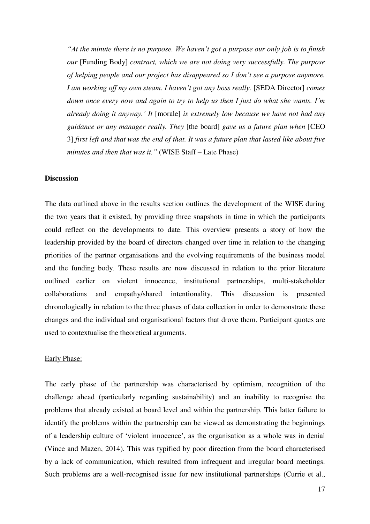*"At the minute there is no purpose. We haven't got a purpose our only job is to finish our* [Funding Body] *contract, which we are not doing very successfully. The purpose of helping people and our project has disappeared so I don't see a purpose anymore. I am working off my own steam. I haven't got any boss really.* [SEDA Director] *comes down once every now and again to try to help us then I just do what she wants. I'm already doing it anyway.' It* [morale] *is extremely low because we have not had any guidance or any manager really. They* [the board] *gave us a future plan when* [CEO 3] *first left and that was the end of that. It was a future plan that lasted like about five minutes and then that was it."* (WISE Staff – Late Phase)

## **Discussion**

The data outlined above in the results section outlines the development of the WISE during the two years that it existed, by providing three snapshots in time in which the participants could reflect on the developments to date. This overview presents a story of how the leadership provided by the board of directors changed over time in relation to the changing priorities of the partner organisations and the evolving requirements of the business model and the funding body. These results are now discussed in relation to the prior literature outlined earlier on violent innocence, institutional partnerships, multi-stakeholder collaborations and empathy/shared intentionality. This discussion is presented chronologically in relation to the three phases of data collection in order to demonstrate these changes and the individual and organisational factors that drove them. Participant quotes are used to contextualise the theoretical arguments.

#### Early Phase:

The early phase of the partnership was characterised by optimism, recognition of the challenge ahead (particularly regarding sustainability) and an inability to recognise the problems that already existed at board level and within the partnership. This latter failure to identify the problems within the partnership can be viewed as demonstrating the beginnings of a leadership culture of 'violent innocence', as the organisation as a whole was in denial (Vince and Mazen, 2014). This was typified by poor direction from the board characterised by a lack of communication, which resulted from infrequent and irregular board meetings. Such problems are a well-recognised issue for new institutional partnerships (Currie et al.,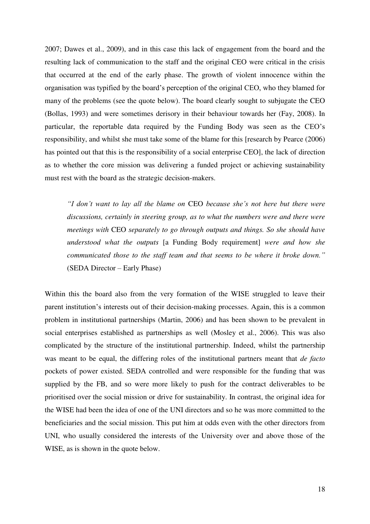2007; Dawes et al., 2009), and in this case this lack of engagement from the board and the resulting lack of communication to the staff and the original CEO were critical in the crisis that occurred at the end of the early phase. The growth of violent innocence within the organisation was typified by the board's perception of the original CEO, who they blamed for many of the problems (see the quote below). The board clearly sought to subjugate the CEO (Bollas, 1993) and were sometimes derisory in their behaviour towards her (Fay, 2008). In particular, the reportable data required by the Funding Body was seen as the CEO's responsibility, and whilst she must take some of the blame for this [research by Pearce (2006) has pointed out that this is the responsibility of a social enterprise CEO], the lack of direction as to whether the core mission was delivering a funded project or achieving sustainability must rest with the board as the strategic decision-makers.

*"I don't want to lay all the blame on* CEO *because she's not here but there were discussions, certainly in steering group, as to what the numbers were and there were meetings with* CEO *separately to go through outputs and things. So she should have understood what the outputs* [a Funding Body requirement] *were and how she communicated those to the staff team and that seems to be where it broke down."* (SEDA Director – Early Phase)

Within this the board also from the very formation of the WISE struggled to leave their parent institution's interests out of their decision-making processes. Again, this is a common problem in institutional partnerships (Martin, 2006) and has been shown to be prevalent in social enterprises established as partnerships as well (Mosley et al., 2006). This was also complicated by the structure of the institutional partnership. Indeed, whilst the partnership was meant to be equal, the differing roles of the institutional partners meant that *de facto*  pockets of power existed. SEDA controlled and were responsible for the funding that was supplied by the FB, and so were more likely to push for the contract deliverables to be prioritised over the social mission or drive for sustainability. In contrast, the original idea for the WISE had been the idea of one of the UNI directors and so he was more committed to the beneficiaries and the social mission. This put him at odds even with the other directors from UNI, who usually considered the interests of the University over and above those of the WISE, as is shown in the quote below.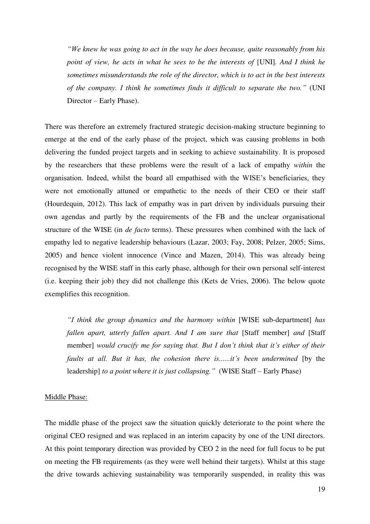*"We knew he was going to act in the way he does because, quite reasonably from his point of view, he acts in what he sees to be the interests of [UNI]. And I think he sometimes misunderstands the role of the director, which is to act in the best interests of the company. I think he sometimes finds it difficult to separate the two."* (UNI Director – Early Phase).

There was therefore an extremely fractured strategic decision-making structure beginning to emerge at the end of the early phase of the project, which was causing problems in both delivering the funded project targets and in seeking to achieve sustainability. It is proposed by the researchers that these problems were the result of a lack of empathy *within* the organisation. Indeed, whilst the board all empathised with the WISE's beneficiaries, they were not emotionally attuned or empathetic to the needs of their CEO or their staff (Hourdequin, 2012). This lack of empathy was in part driven by individuals pursuing their own agendas and partly by the requirements of the FB and the unclear organisational structure of the WISE (in *de facto* terms). These pressures when combined with the lack of empathy led to negative leadership behaviours (Lazar, 2003; Fay, 2008; Pelzer, 2005; Sims, 2005) and hence violent innocence (Vince and Mazen, 2014). This was already being recognised by the WISE staff in this early phase, although for their own personal self-interest (i.e. keeping their job) they did not challenge this (Kets de Vries, 2006). The below quote exemplifies this recognition.

*"I think the group dynamics and the harmony within* [WISE sub-department] *has fallen apart, utterly fallen apart. And I am sure that* [Staff member] *and* [Staff member] *would crucify me for saying that. But I don't think that it's either of their faults at all. But it has, the cohesion there is......it's been undermined* [by the leadership] *to a point where it is just collapsing."* (WISE Staff – Early Phase)

## Middle Phase:

The middle phase of the project saw the situation quickly deteriorate to the point where the original CEO resigned and was replaced in an interim capacity by one of the UNI directors. At this point temporary direction was provided by CEO 2 in the need for full focus to be put on meeting the FB requirements (as they were well behind their targets). Whilst at this stage the drive towards achieving sustainability was temporarily suspended, in reality this was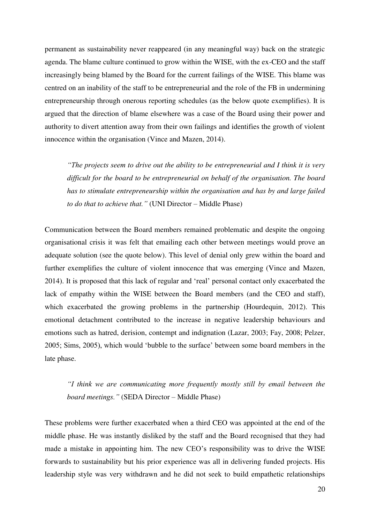permanent as sustainability never reappeared (in any meaningful way) back on the strategic agenda. The blame culture continued to grow within the WISE, with the ex-CEO and the staff increasingly being blamed by the Board for the current failings of the WISE. This blame was centred on an inability of the staff to be entrepreneurial and the role of the FB in undermining entrepreneurship through onerous reporting schedules (as the below quote exemplifies). It is argued that the direction of blame elsewhere was a case of the Board using their power and authority to divert attention away from their own failings and identifies the growth of violent innocence within the organisation (Vince and Mazen, 2014).

*"The projects seem to drive out the ability to be entrepreneurial and I think it is very difficult for the board to be entrepreneurial on behalf of the organisation. The board has to stimulate entrepreneurship within the organisation and has by and large failed to do that to achieve that."* (UNI Director – Middle Phase)

Communication between the Board members remained problematic and despite the ongoing organisational crisis it was felt that emailing each other between meetings would prove an adequate solution (see the quote below). This level of denial only grew within the board and further exemplifies the culture of violent innocence that was emerging (Vince and Mazen, 2014). It is proposed that this lack of regular and 'real' personal contact only exacerbated the lack of empathy within the WISE between the Board members (and the CEO and staff), which exacerbated the growing problems in the partnership (Hourdequin, 2012). This emotional detachment contributed to the increase in negative leadership behaviours and emotions such as hatred, derision, contempt and indignation (Lazar, 2003; Fay, 2008; Pelzer, 2005; Sims, 2005), which would 'bubble to the surface' between some board members in the late phase.

*"I think we are communicating more frequently mostly still by email between the board meetings."* (SEDA Director – Middle Phase)

These problems were further exacerbated when a third CEO was appointed at the end of the middle phase. He was instantly disliked by the staff and the Board recognised that they had made a mistake in appointing him. The new CEO's responsibility was to drive the WISE forwards to sustainability but his prior experience was all in delivering funded projects. His leadership style was very withdrawn and he did not seek to build empathetic relationships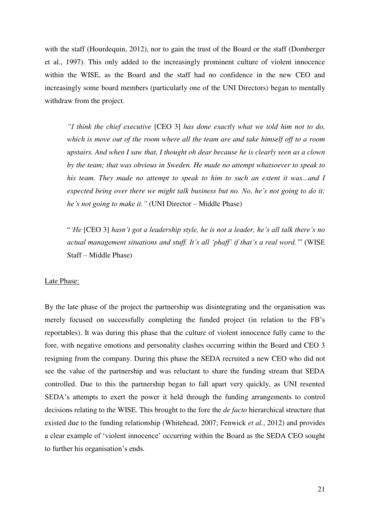with the staff (Hourdequin, 2012), nor to gain the trust of the Board or the staff (Domberger et al., 1997). This only added to the increasingly prominent culture of violent innocence within the WISE, as the Board and the staff had no confidence in the new CEO and increasingly some board members (particularly one of the UNI Directors) began to mentally withdraw from the project.

*"I think the chief executive* [CEO 3] *has done exactly what we told him not to do, which is move out of the room where all the team are and take himself off to a room upstairs. And when I saw that, I thought oh dear because he is clearly seen as a clown by the team; that was obvious in Sweden. He made no attempt whatsoever to speak to his team. They made no attempt to speak to him to such an extent it was...and I expected being over there we might talk business but no. No, he's not going to do it; he's not going to make it."* (UNI Director – Middle Phase)

"*'He* [CEO 3] *hasn't got a leadership style, he is not a leader, he's all talk there's no actual management situations and stuff. It's all 'phaff' if that's a real word.'*" (WISE Staff – Middle Phase)

#### Late Phase:

By the late phase of the project the partnership was disintegrating and the organisation was merely focused on successfully completing the funded project (in relation to the FB's reportables). It was during this phase that the culture of violent innocence fully came to the fore, with negative emotions and personality clashes occurring within the Board and CEO 3 resigning from the company. During this phase the SEDA recruited a new CEO who did not see the value of the partnership and was reluctant to share the funding stream that SEDA controlled. Due to this the partnership began to fall apart very quickly, as UNI resented SEDA's attempts to exert the power it held through the funding arrangements to control decisions relating to the WISE. This brought to the fore the *de facto* hierarchical structure that existed due to the funding relationship (Whitehead, 2007; Fenwick *et al.*, 2012) and provides a clear example of 'violent innocence' occurring within the Board as the SEDA CEO sought to further his organisation's ends.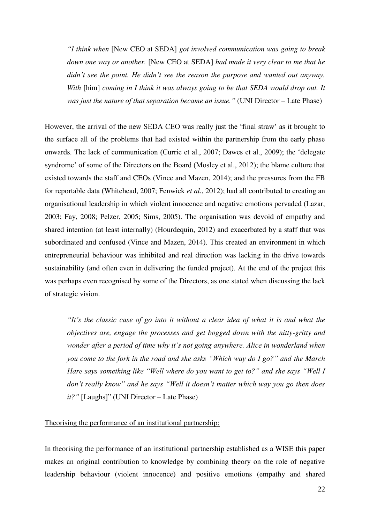*"I think when* [New CEO at SEDA] *got involved communication was going to break down one way or another.* [New CEO at SEDA] *had made it very clear to me that he didn't see the point. He didn't see the reason the purpose and wanted out anyway. With* [him] *coming in I think it was always going to be that SEDA would drop out. It was just the nature of that separation became an issue."* (UNI Director – Late Phase)

However, the arrival of the new SEDA CEO was really just the 'final straw' as it brought to the surface all of the problems that had existed within the partnership from the early phase onwards. The lack of communication (Currie et al., 2007; Dawes et al., 2009); the 'delegate syndrome' of some of the Directors on the Board (Mosley et al., 2012); the blame culture that existed towards the staff and CEOs (Vince and Mazen, 2014); and the pressures from the FB for reportable data (Whitehead, 2007; Fenwick *et al.*, 2012); had all contributed to creating an organisational leadership in which violent innocence and negative emotions pervaded (Lazar, 2003; Fay, 2008; Pelzer, 2005; Sims, 2005). The organisation was devoid of empathy and shared intention (at least internally) (Hourdequin, 2012) and exacerbated by a staff that was subordinated and confused (Vince and Mazen, 2014). This created an environment in which entrepreneurial behaviour was inhibited and real direction was lacking in the drive towards sustainability (and often even in delivering the funded project). At the end of the project this was perhaps even recognised by some of the Directors, as one stated when discussing the lack of strategic vision.

*"It's the classic case of go into it without a clear idea of what it is and what the objectives are, engage the processes and get bogged down with the nitty-gritty and wonder after a period of time why it's not going anywhere. Alice in wonderland when you come to the fork in the road and she asks "Which way do I go?" and the March Hare says something like "Well where do you want to get to?" and she says "Well I don't really know" and he says "Well it doesn't matter which way you go then does it?"* [Laughs]" (UNI Director – Late Phase)

## Theorising the performance of an institutional partnership:

In theorising the performance of an institutional partnership established as a WISE this paper makes an original contribution to knowledge by combining theory on the role of negative leadership behaviour (violent innocence) and positive emotions (empathy and shared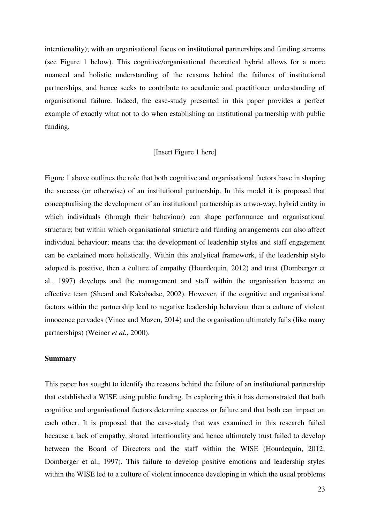intentionality); with an organisational focus on institutional partnerships and funding streams (see Figure 1 below). This cognitive/organisational theoretical hybrid allows for a more nuanced and holistic understanding of the reasons behind the failures of institutional partnerships, and hence seeks to contribute to academic and practitioner understanding of organisational failure. Indeed, the case-study presented in this paper provides a perfect example of exactly what not to do when establishing an institutional partnership with public funding.

## [Insert Figure 1 here]

Figure 1 above outlines the role that both cognitive and organisational factors have in shaping the success (or otherwise) of an institutional partnership. In this model it is proposed that conceptualising the development of an institutional partnership as a two-way, hybrid entity in which individuals (through their behaviour) can shape performance and organisational structure; but within which organisational structure and funding arrangements can also affect individual behaviour; means that the development of leadership styles and staff engagement can be explained more holistically. Within this analytical framework, if the leadership style adopted is positive, then a culture of empathy (Hourdequin, 2012) and trust (Domberger et al., 1997) develops and the management and staff within the organisation become an effective team (Sheard and Kakabadse, 2002). However, if the cognitive and organisational factors within the partnership lead to negative leadership behaviour then a culture of violent innocence pervades (Vince and Mazen, 2014) and the organisation ultimately fails (like many partnerships) (Weiner *et al.*, 2000).

## **Summary**

This paper has sought to identify the reasons behind the failure of an institutional partnership that established a WISE using public funding. In exploring this it has demonstrated that both cognitive and organisational factors determine success or failure and that both can impact on each other. It is proposed that the case-study that was examined in this research failed because a lack of empathy, shared intentionality and hence ultimately trust failed to develop between the Board of Directors and the staff within the WISE (Hourdequin, 2012; Domberger et al., 1997). This failure to develop positive emotions and leadership styles within the WISE led to a culture of violent innocence developing in which the usual problems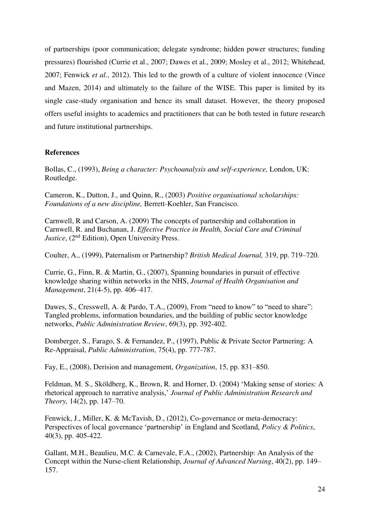of partnerships (poor communication; delegate syndrome; hidden power structures; funding pressures) flourished (Currie et al., 2007; Dawes et al., 2009; Mosley et al., 2012; Whitehead, 2007; Fenwick *et al.*, 2012). This led to the growth of a culture of violent innocence (Vince and Mazen, 2014) and ultimately to the failure of the WISE. This paper is limited by its single case-study organisation and hence its small dataset. However, the theory proposed offers useful insights to academics and practitioners that can be both tested in future research and future institutional partnerships.

## **References**

Bollas, C., (1993), *Being a character: Psychoanalysis and self-experience,* London, UK: Routledge.

Cameron, K., Dutton, J., and Quinn, R., (2003) *Positive organisational scholarships: Foundations of a new discipline,* Berrett-Koehler, San Francisco.

Carnwell, R and Carson, A. (2009) The concepts of partnership and collaboration in Carnwell, R. and Buchanan, J. *Effective Practice in Health, Social Care and Criminal Justice*, (2<sup>nd</sup> Edition), Open University Press.

Coulter, A., (1999), Paternalism or Partnership? *British Medical Journal,* 319, pp. 719–720.

Currie, G., Finn, R. & Martin, G., (2007), Spanning boundaries in pursuit of effective knowledge sharing within networks in the NHS, *Journal of Health Organisation and Management*, 21(4-5), pp. 406–417.

Dawes, S., Cresswell, A. & Pardo, T.A., (2009), From "need to know" to "need to share": Tangled problems, information boundaries, and the building of public sector knowledge networks, *Public Administration Review*, 69(3), pp. 392-402.

Domberger, S., Farago, S. & Fernandez, P., (1997), Public & Private Sector Partnering: A Re-Appraisal, *Public Administration*, 75(4), pp. 777-787.

Fay, E., (2008), Derision and management, *Organization*, 15, pp. 831–850.

[Feldman,](http://jpart.oxfordjournals.org/search?author1=Martha+S.+Feldman&sortspec=date&submit=Submit) M. S., [Sköldberg,](http://jpart.oxfordjournals.org/search?author1=Kaj+Sk%C3%B6ldberg&sortspec=date&submit=Submit) K., [Brown,](http://jpart.oxfordjournals.org/search?author1=Ruth+Nicole+Brown&sortspec=date&submit=Submit) R. and [Horner,](http://jpart.oxfordjournals.org/search?author1=Debra+Horner&sortspec=date&submit=Submit) D. (2004) 'Making sense of stories: A rhetorical approach to narrative analysis,' *Journal of Public Administration Research and Theory,* 14(2), pp. 147–70.

Fenwick, J., Miller, K. & McTavish, D., (2012), Co-governance or meta-democracy: Perspectives of local governance 'partnership' in England and Scotland, *Policy & Politics*, 40(3), pp. 405-422.

Gallant, M.H., Beaulieu, M.C. & Carnevale, F.A., (2002), Partnership: An Analysis of the Concept within the Nurse-client Relationship, *Journal of Advanced Nursing*, 40(2), pp. 149– 157.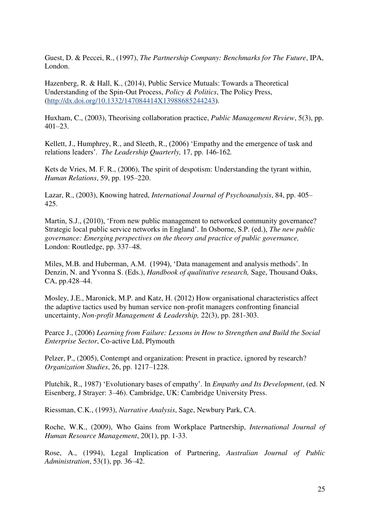Guest, D. & Peccei, R., (1997), *The Partnership Company: Benchmarks for The Future*, IPA, London.

Hazenberg, R. & Hall, K., (2014), Public Service Mutuals: Towards a Theoretical Understanding of the Spin-Out Process, *Policy & Politics*, The Policy Press, [\(http://dx.doi.org/10.1332/147084414X13988685244243\)](http://dx.doi.org/10.1332/147084414X13988685244243).

Huxham, C., (2003), Theorising collaboration practice, *Public Management Review*, 5(3), pp. 401–23.

Kellett, J., Humphrey, R., and Sleeth, R., (2006) 'Empathy and the emergence of task and relations leaders'. *The Leadership Quarterly,* 17, pp. 146-162*.* 

Kets de Vries, M. F. R., (2006), The spirit of despotism: Understanding the tyrant within, *Human Relations*, 59, pp. 195–220.

Lazar, R., (2003), Knowing hatred, *International Journal of Psychoanalysis*, 84, pp. 405– 425.

Martin, S.J., (2010), 'From new public management to networked community governance? Strategic local public service networks in England'. In Osborne, S.P. (ed.), *The new public governance: Emerging perspectives on the theory and practice of public governance,*  London: Routledge, pp. 337–48.

Miles, M.B. and Huberman, A.M. (1994), 'Data management and analysis methods'. In Denzin, N. and Yvonna S. (Eds.), *Handbook of qualitative research,* Sage, Thousand Oaks, CA, pp.428–44.

Mosley, J.E., Maronick, M.P. and Katz, H. (2012) How organisational characteristics affect the adaptive tactics used by human service non-profit managers confronting financial uncertainty, *Non-profit Management & Leadership,* 22(3), pp. 281-303.

Pearce J., (2006) *Learning from Failure: Lessons in How to Strengthen and Build the Social Enterprise Sector*, Co-active Ltd, Plymouth

Pelzer, P., (2005), Contempt and organization: Present in practice, ignored by research? *Organization Studies*, 26, pp. 1217–1228.

Plutchik, R., 1987) 'Evolutionary bases of empathy'. In *Empathy and Its Development*, (ed. N Eisenberg, J Strayer: 3–46). Cambridge, UK: Cambridge University Press.

Riessman, C.K., (1993), *Narrative Analysis*, Sage, Newbury Park, CA.

Roche, W.K., (2009), Who Gains from Workplace Partnership, *International Journal of Human Resource Management*, 20(1), pp. 1-33.

Rose, A., (1994), Legal Implication of Partnering, *Australian Journal of Public Administration*, 53(1), pp. 36–42.